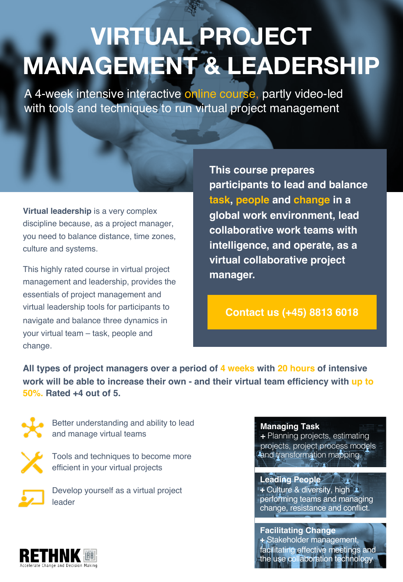# **VIRTUAL PROJECT MANAGEMENT & LEADERSHIP**

A 4-week intensive interactive online course, partly video-led with tools and techniques to run virtual project management

**Virtual leadership** is a very complex discipline because, as a project manager, you need to balance distance, time zones, culture and systems.

This highly rated course in virtual project management and leadership, provides the essentials of project management and virtual leadership tools for participants to navigate and balance three dynamics in your virtual team – task, people and change.

**This course prepares participants to lead and balance task, people and change in a global work environment, lead collaborative work teams with intelligence, and operate, as a virtual collaborative project manager.**

### **Contact us (+45) 8813 6018**

**All types of project managers over a period of 4 weeks with 20 hours of intensive work will be able to increase their own - and their virtual team efficiency with up to 50%. Rated +4 out of 5.** 



Better understanding and ability to lead and manage virtual teams



Tools and techniques to become more efficient in your virtual projects

Develop yourself as a virtual project leader

#### **Managing Task**

+ Planning projects, estimating projects, project process models and transformation mapping.

**Leading People +** Culture & diversity, high performing teams and managing change, resistance and conflict.

**Facilitating Change +** Stakeholder management, facilitating effective meetings and he use collaboration technology